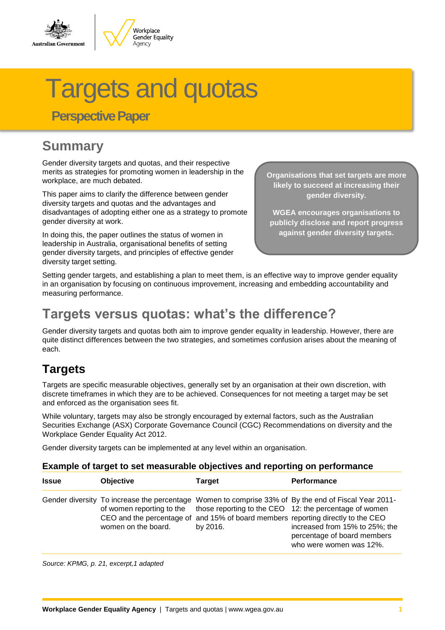

# Targets and quotas

 **Perspective Paper**

# **Summary**

Gender diversity targets and quotas, and their respective merits as strategies for promoting women in leadership in the workplace, are much debated.

This paper aims to clarify the difference between gender diversity targets and quotas and the advantages and disadvantages of adopting either one as a strategy to promote gender diversity at work.

In doing this, the paper outlines the status of women in leadership in Australia, organisational benefits of setting gender diversity targets, and principles of effective gender diversity target setting.

**Organisations that set targets are more likely to succeed at increasing their gender diversity.**

**WGEA encourages organisations to publicly disclose and report progress against gender diversity targets.**

Setting gender targets, and establishing a plan to meet them, is an effective way to improve gender equality in an organisation by focusing on continuous improvement, increasing and embedding accountability and measuring performance.

## **Targets versus quotas: what's the difference?**

Gender diversity targets and quotas both aim to improve gender equality in leadership. However, there are quite distinct differences between the two strategies, and sometimes confusion arises about the meaning of each.

### **Targets**

Targets are specific measurable objectives, generally set by an organisation at their own discretion, with discrete timeframes in which they are to be achieved. Consequences for not meeting a target may be set and enforced as the organisation sees fit.

While voluntary, targets may also be strongly encouraged by external factors, such as the Australian Securities Exchange (ASX) Corporate Governance Council (CGC) Recommendations on diversity and the Workplace Gender Equality Act 2012.

Gender diversity targets can be implemented at any level within an organisation.

#### **Example of target to set measurable objectives and reporting on performance**

| <b>Issue</b> | <b>Objective</b>                                 | Target   | <b>Performance</b>                                                                                                                                                                                                                                                                                                                             |
|--------------|--------------------------------------------------|----------|------------------------------------------------------------------------------------------------------------------------------------------------------------------------------------------------------------------------------------------------------------------------------------------------------------------------------------------------|
|              | of women reporting to the<br>women on the board. | by 2016. | Gender diversity To increase the percentage Women to comprise 33% of By the end of Fiscal Year 2011-<br>those reporting to the CEO 12: the percentage of women<br>CEO and the percentage of and 15% of board members reporting directly to the CEO<br>increased from 15% to 25%; the<br>percentage of board members<br>who were women was 12%. |

*Source: KPMG, p. 21, excerpt,1 adapted*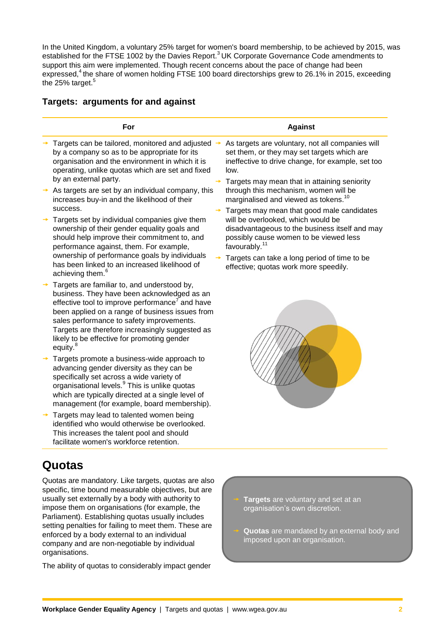In the United Kingdom, a voluntary 25% target for women's board membership, to be achieved by 2015, was established for the FTSE 1002 by the Davies Report.<sup>3</sup> UK Corporate Governance Code amendments to support this aim were implemented. Though recent concerns about the pace of change had been expressed,<sup>4</sup> the share of women holding FTSE 100 board directorships grew to 26.1% in 2015, exceeding the 25% target.<sup>5</sup>

#### **Targets: arguments for and against**

| For                                                                                                                                                                                                                                                                                                                                                                                 | <b>Against</b>                                                                                                                                                                                            |
|-------------------------------------------------------------------------------------------------------------------------------------------------------------------------------------------------------------------------------------------------------------------------------------------------------------------------------------------------------------------------------------|-----------------------------------------------------------------------------------------------------------------------------------------------------------------------------------------------------------|
| Targets can be tailored, monitored and adjusted $\rightarrow$<br>by a company so as to be appropriate for its<br>organisation and the environment in which it is<br>operating, unlike quotas which are set and fixed<br>by an external party.                                                                                                                                       | As targets are voluntary, not all companies will<br>set them, or they may set targets which are<br>ineffective to drive change, for example, set too<br>low.                                              |
| As targets are set by an individual company, this<br>increases buy-in and the likelihood of their<br>success.                                                                                                                                                                                                                                                                       | Targets may mean that in attaining seniority<br>through this mechanism, women will be<br>marginalised and viewed as tokens. <sup>10</sup>                                                                 |
| Targets set by individual companies give them<br>ownership of their gender equality goals and<br>should help improve their commitment to, and<br>performance against, them. For example,                                                                                                                                                                                            | Targets may mean that good male candidates<br>will be overlooked, which would be<br>disadvantageous to the business itself and may<br>possibly cause women to be viewed less<br>favourably. <sup>11</sup> |
| ownership of performance goals by individuals<br>has been linked to an increased likelihood of<br>achieving them. <sup>6</sup>                                                                                                                                                                                                                                                      | Targets can take a long period of time to be<br>effective; quotas work more speedily.                                                                                                                     |
| Targets are familiar to, and understood by,<br>business. They have been acknowledged as an<br>effective tool to improve performance <sup>7</sup> and have<br>been applied on a range of business issues from<br>sales performance to safety improvements.<br>Targets are therefore increasingly suggested as<br>likely to be effective for promoting gender<br>equity. <sup>8</sup> |                                                                                                                                                                                                           |
| Targets promote a business-wide approach to<br>advancing gender diversity as they can be<br>specifically set across a wide variety of<br>organisational levels. <sup>9</sup> This is unlike quotas<br>which are typically directed at a single level of<br>management (for example, board membership).                                                                              |                                                                                                                                                                                                           |
| Targets may lead to talented women being<br>identified who would otherwise be overlooked.<br>This increases the talent pool and should<br>facilitate women's workforce retention.                                                                                                                                                                                                   |                                                                                                                                                                                                           |

Quotas are mandatory. Like targets, quotas are also specific, time bound measurable objectives, but are usually set externally by a body with authority to impose them on organisations (for example, the Parliament). Establishing quotas usually includes setting penalties for failing to meet them. These are enforced by a body external to an individual company and are non-negotiable by individual organisations.

The ability of quotas to considerably impact gender

- **Targets** are voluntary and set at an organisation's own discretion.
- **Quotas** are mandated by an external body and imposed upon an organisation.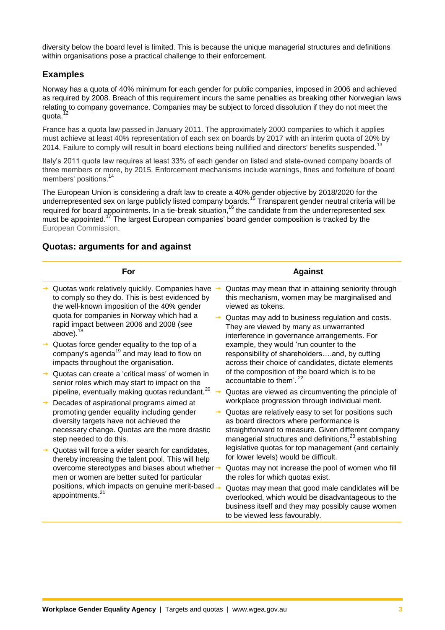diversity below the board level is limited. This is because the unique managerial structures and definitions within organisations pose a practical challenge to their enforcement.

#### **Examples**

Norway has a quota of 40% minimum for each gender for public companies, imposed in 2006 and achieved as required by 2008. Breach of this requirement incurs the same penalties as breaking other Norwegian laws relating to company governance. Companies may be subject to forced dissolution if they do not meet the quota.<sup>12</sup>

France has a quota law passed in January 2011. The approximately 2000 companies to which it applies must achieve at least 40% representation of each sex on boards by 2017 with an interim quota of 20% by 2014. Failure to comply will result in board elections being nullified and directors' benefits suspended.<sup>13</sup>

Italy's 2011 quota law requires at least 33% of each gender on listed and state-owned company boards of three members or more, by 2015. Enforcement mechanisms include warnings, fines and forfeiture of board members' positions.<sup>14</sup>

The European Union is considering a draft law to create a 40% gender objective by 2018/2020 for the underrepresented sex on large publicly listed company boards.<sup>15</sup> Transparent gender neutral criteria will be required for board appointments. In a tie-break situation,<sup>16</sup> the candidate from the underrepresented sex must be appointed.<sup>17</sup> The largest European companies' board gender composition is tracked by the [European Commission.](http://ec.europa.eu/justice/gender-equality/gender-decision-making/database/business-finance/index_en.htm)

#### **For Against**  $\rightarrow$  Quotas work relatively quickly. Companies have  $\rightarrow$ to comply so they do. This is best evidenced by the well-known imposition of the 40% gender quota for companies in Norway which had a rapid impact between 2006 and 2008 (see above). $1$  Quotas force gender equality to the top of a Guotas force genuer equality to the company's agenda<sup>19</sup> and may lead to flow on impacts throughout the organisation. Quotas can create a 'critical mass' of women in senior roles which may start to impact on the pipeline, eventually making quotas redundant.<sup>20</sup> Decades of aspirational programs aimed at promoting gender equality including gender diversity targets have not achieved the necessary change. Quotas are the more drastic step needed to do this. Quotas will force a wider search for candidates, thereby increasing the talent pool. This will help overcome stereotypes and biases about whether men or women are better suited for particular positions, which impacts on genuine merit-based appointments.<sup>21</sup> Quotas may mean that in attaining seniority through this mechanism, women may be marginalised and viewed as tokens. Quotas may add to business regulation and costs. They are viewed by many as unwarranted interference in governance arrangements. For example, they would 'run counter to the responsibility of shareholders….and, by cutting across their choice of candidates, dictate elements of the composition of the board which is to be accountable to them'.<sup>22</sup> Quotas are viewed as circumventing the principle of workplace progression through individual merit. Quotas are relatively easy to set for positions such as board directors where performance is straightforward to measure. Given different company managerial structures and definitions,<sup>23</sup> establishing legislative quotas for top management (and certainly for lower levels) would be difficult. Quotas may not increase the pool of women who fill the roles for which quotas exist. Quotas may mean that good male candidates will be overlooked, which would be disadvantageous to the business itself and they may possibly cause women to be viewed less favourably.

#### **Quotas: arguments for and against**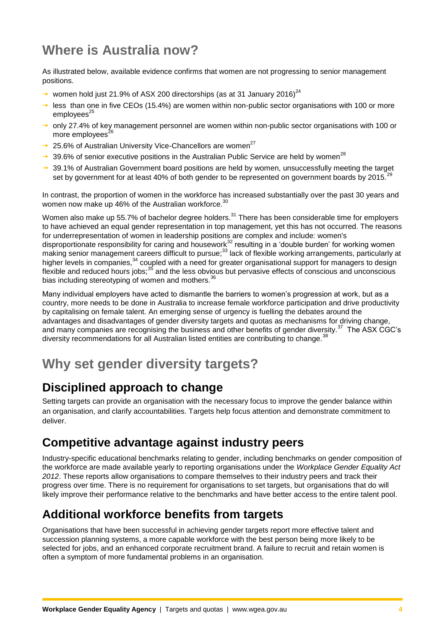# **Where is Australia now?**

As illustrated below, available evidence confirms that women are not progressing to senior management positions.

- women hold just 21.9% of ASX 200 directorships (as at 31 January 2016)<sup>24</sup>
- $\rightarrow$  less than one in five CEOs (15.4%) are women within non-public sector organisations with 100 or more  $emploves<sup>25</sup>$
- $\rightarrow$  only 27.4% of key management personnel are women within non-public sector organisations with 100 or more employees $^{26}$
- $\rightarrow$  25.6% of Australian University Vice-Chancellors are women<sup>27</sup>
- $\rightarrow$  39.6% of senior executive positions in the Australian Public Service are held by women<sup>28</sup>
- $\rightarrow$  39.1% of Australian Government board positions are held by women, unsuccessfully meeting the target set by government for at least 40% of both gender to be represented on government boards by 2015.<sup>29</sup>

In contrast, the proportion of women in the workforce has increased substantially over the past 30 years and women now make up 46% of the Australian workforce.<sup>30</sup>

Women also make up 55.7% of bachelor degree holders.<sup>31</sup> There has been considerable time for employers to have achieved an equal gender representation in top management, yet this has not occurred. The reasons for underrepresentation of women in leadership positions are complex and include: women's disproportionate responsibility for caring and housework<sup>32</sup> resulting in a 'double burden' for working women making senior management careers difficult to pursue;<sup>33</sup> lack of flexible working arrangements, particularly at higher levels in companies,<sup>34</sup> coupled with a need for greater organisational support for managers to design flexible and reduced hours jobs;<sup>35</sup> and the less obvious but pervasive effects of conscious and unconscious bias including stereotyping of women and mothers.<sup>36</sup>

Many individual employers have acted to dismantle the barriers to women's progression at work, but as a country, more needs to be done in Australia to increase female workforce participation and drive productivity by capitalising on female talent. An emerging sense of urgency is fuelling the debates around the advantages and disadvantages of gender diversity targets and quotas as mechanisms for driving change, and many companies are recognising the business and other benefits of gender diversity.<sup>37</sup> The ASX CGC's diversity recommendations for all Australian listed entities are contributing to change.<sup>38</sup>

# **Why set gender diversity targets?**

#### **Disciplined approach to change**

Setting targets can provide an organisation with the necessary focus to improve the gender balance within an organisation, and clarify accountabilities. Targets help focus attention and demonstrate commitment to deliver.

#### **Competitive advantage against industry peers**

Industry-specific educational benchmarks relating to gender, including benchmarks on gender composition of the workforce are made available yearly to reporting organisations under the *Workplace Gender Equality Act 2012*. These reports allow organisations to compare themselves to their industry peers and track their progress over time. There is no requirement for organisations to set targets, but organisations that do will likely improve their performance relative to the benchmarks and have better access to the entire talent pool.

#### **Additional workforce benefits from targets**

Organisations that have been successful in achieving gender targets report more effective talent and succession planning systems, a more capable workforce with the best person being more likely to be selected for jobs, and an enhanced corporate recruitment brand. A failure to recruit and retain women is often a symptom of more fundamental problems in an organisation.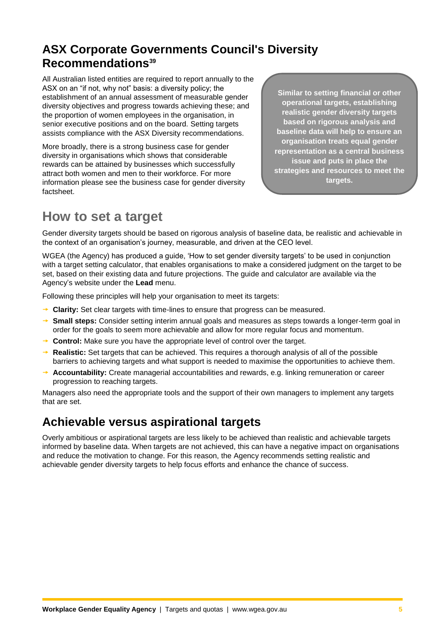#### **ASX Corporate Governments Council's Diversity Recommendations<sup>39</sup>**

All Australian listed entities are required to report annually to the ASX on an "if not, why not" basis: a diversity policy; the establishment of an annual assessment of measurable gender diversity objectives and progress towards achieving these; and the proportion of women employees in the organisation, in senior executive positions and on the board. Setting targets assists compliance with the ASX Diversity recommendations.

More broadly, there is a strong business case for gender diversity in organisations which shows that considerable rewards can be attained by businesses which successfully attract both women and men to their workforce. For more information please see the [business case for gender diversity](http://www.wgea.gov.au/sites/default/files/business_case_web.pdf) factsheet.

**Similar to setting financial or other operational targets, establishing realistic gender diversity targets based on rigorous analysis and baseline data will help to ensure an organisation treats equal gender representation as a central business issue and puts in place the strategies and resources to meet the targets.** 

# **How to set a target**

Gender diversity targets should be based on rigorous analysis of baseline data, be realistic and achievable in the context of an organisation's journey, measurable, and driven at the CEO level.

WGEA (the Agency) has produced a guide, 'How to set gender diversity targets' to be used in conjunction with a target setting calculator, that enables organisations to make a considered judgment on the target to be set, based on their existing data and future projections. The guide and calculator are available via the Agency's website under the **Lead** menu.

Following these principles will help your organisation to meet its targets:

- **→ Clarity:** Set clear targets with time-lines to ensure that progress can be measured.
- **→ Small steps:** Consider setting interim annual goals and measures as steps towards a longer-term goal in order for the goals to seem more achievable and allow for more regular focus and momentum.
- **→ Control:** Make sure you have the appropriate level of control over the target.
- **Realistic:** Set targets that can be achieved. This requires a thorough analysis of all of the possible barriers to achieving targets and what support is needed to maximise the opportunities to achieve them.
- **→ Accountability:** Create managerial accountabilities and rewards, e.g. linking remuneration or career progression to reaching targets.

Managers also need the appropriate tools and the support of their own managers to implement any targets that are set.

### **Achievable versus aspirational targets**

Overly ambitious or aspirational targets are less likely to be achieved than realistic and achievable targets informed by baseline data. When targets are not achieved, this can have a negative impact on organisations and reduce the motivation to change. For this reason, the Agency recommends setting realistic and achievable gender diversity targets to help focus efforts and enhance the chance of success.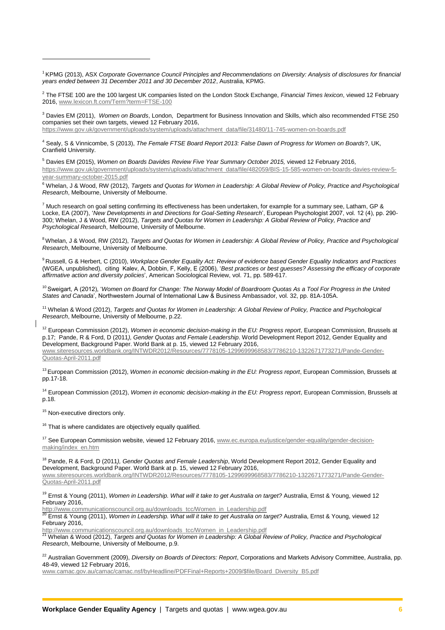<sup>1</sup> KPMG (2013), ASX *Corporate Governance Council Principles and Recommendations on Diversity: Analysis of disclosures for financial years ended between 31 December 2011 and 30 December 2012*, Australia, KPMG.

2 The FTSE 100 are the 100 largest UK companies listed on the London Stock Exchange, *Financial Times lexicon*, viewed 12 February 2016, [www.lexicon.ft.com/Term?term=FTSE-100](http://www.lexicon.ft.com/Term?term=FTSE-100)

<sup>3</sup> Davies EM (2011), *Women on Boards*, London, Department for Business Innovation and Skills, which also recommended FTSE 250 companies set their own targets, viewed 12 February 2016,

[https://www.gov.uk/government/uploads/system/uploads/attachment\\_data/file/31480/11-745-women-on-boards.pdf](https://www.gov.uk/government/uploads/system/uploads/attachment_data/file/31480/11-745-women-on-boards.pdf)

<sup>4</sup> Sealy, S & Vinnicombe, S (2013), *The Female FTSE Board Report 2013: False Dawn of Progress for Women on Boards*?, UK, Cranfield University.

<sup>5</sup> Davies EM (2015), *Women on Boards Davides Review Five Year Summary October 2015,* viewed 12 February 2016, [https://www.gov.uk/government/uploads/system/uploads/attachment\\_data/file/482059/BIS-15-585-women-on-boards-davies-review-5](https://www.gov.uk/government/uploads/system/uploads/attachment_data/file/482059/BIS-15-585-women-on-boards-davies-review-5-year-summary-october-2015.pdf) [year-summary-october-2015.pdf](https://www.gov.uk/government/uploads/system/uploads/attachment_data/file/482059/BIS-15-585-women-on-boards-davies-review-5-year-summary-october-2015.pdf)

<sup>6</sup> Whelan, J & Wood, RW (2012), *Targets and Quotas for Women in Leadership: A Global Review of Policy, Practice and Psychological Research*, Melbourne, University of Melbourne.

 $^7$  Much research on goal setting confirming its effectiveness has been undertaken, for example for a summary see, Latham, GP & Locke, EA (2007), '*New Developments in and Directions for Goal-Setting Research*', European Psychologist 2007, vol. 12 (4), pp. 290- 300; Whelan, J & Wood, RW (2012), *Targets and Quotas for Women in Leadership: A Global Review of Policy, Practice and Psychological Research*, Melbourne, University of Melbourne.

<sup>8</sup> Whelan, J & Wood, RW (2012), *Targets and Quotas for Women in Leadership: A Global Review of Policy, Practice and Psychological Research*, Melbourne, University of Melbourne.

<sup>9</sup> Russell, G & Herbert, C (2010), *Workplace Gender Equality Act: Review of evidence based Gender Equality Indicators and Practices* (WGEA, unpublished), citing Kalev, A, Dobbin, F, Kelly, E (2006), '*Best practices or best guesses? Assessing the efficacy of corporate affirmative action and diversity policies*', American Sociological Review, vol. 71, pp. 589-617.

<sup>10</sup> Sweigart, A (2012), '*Women on Board for Change: The Norway Model of Boardroom Quotas As a Tool For Progress in the United States and Canada*', Northwestern Journal of International Law & Business Ambassador, vol. 32, pp. 81A-105A.

<sup>11</sup> Whelan & Wood (2012), *Targets and Quotas for Women in Leadership: A Global Review of Policy, Practice and Psychological Research*, Melbourne, University of Melbourne, p.22.

<sup>12</sup> European Commission (2012), Women in economic decision-making in the EU: Progress report, European Commission, Brussels at p.17; Pande, R & Ford, D (2011*), Gender Quotas and Female Leadership*. World Development Report 2012, Gender Equality and Development, Background Paper. World Bank at p. 15, viewed 12 February 2016,

[www.siteresources.worldbank.org/INTWDR2012/Resources/7778105-1299699968583/7786210-1322671773271/Pande-Gender-](http://www.siteresources.worldbank.org/INTWDR2012/Resources/7778105-1299699968583/7786210-1322671773271/Pande-Gender-Quotas-April-2011.pdf)[Quotas-April-2011.pdf](http://www.siteresources.worldbank.org/INTWDR2012/Resources/7778105-1299699968583/7786210-1322671773271/Pande-Gender-Quotas-April-2011.pdf)

<sup>13</sup> European Commission (2012), *Women in economic decision-making in the EU: Progress report*, European Commission, Brussels at pp.17-18.

<sup>14</sup> European Commission (2012), *Women in economic decision-making in the EU: Progress report*, European Commission, Brussels at p.18.

<sup>15</sup> Non-executive directors only.

1

<sup>16</sup> That is where candidates are objectively equally qualified.

<sup>17</sup> See European Commission website, viewed 12 February 2016[, www.ec.europa.eu/justice/gender-equality/gender-decision](http://www.ec.europa.eu/justice/gender-equality/gender-decision-making/index_en.htm)[making/index\\_en.htm](http://www.ec.europa.eu/justice/gender-equality/gender-decision-making/index_en.htm)

<sup>18</sup> Pande, R & Ford, D (2011*), Gender Quotas and Female Leadership*, World Development Report 2012, Gender Equality and Development, Background Paper. World Bank at p. 15, viewed 12 February 2016, [www.siteresources.worldbank.org/INTWDR2012/Resources/7778105-1299699968583/7786210-1322671773271/Pande-Gender-](http://www.siteresources.worldbank.org/INTWDR2012/Resources/7778105-1299699968583/7786210-1322671773271/Pande-Gender-Quotas-April-2011.pdf)[Quotas-April-2011.pdf](http://www.siteresources.worldbank.org/INTWDR2012/Resources/7778105-1299699968583/7786210-1322671773271/Pande-Gender-Quotas-April-2011.pdf)

<sup>19</sup> Ernst & Young (2011), *Women in Leadership. What will it take to get Australia on target?* Australia, Ernst & Young, viewed 12 February 2016,

[http://www.communicationscouncil.org.au/downloads\\_tcc/Women\\_in\\_Leadership.pdf](http://www.communicationscouncil.org.au/downloads_tcc/Women_in_Leadership.pdf)<br><sup>20</sup> Ernst & Young (2011), IMomen in Leadership.pdf

<sup>20</sup> Ernst & Young (2011), *Women in Leadership. What will it take to get Australia on target?* Australia, Ernst & Young, viewed 12 February 2016,

[http://www.communicationscouncil.org.au/downloads\\_tcc/Women\\_in\\_Leadership.pdf](http://www.communicationscouncil.org.au/downloads_tcc/Women_in_Leadership.pdf)<br><sup>21</sup> Whelan & Wood (2012), *Targets and Quotas for Women in Leadership: A Global Review of Policy, Practice and Psychological Research*, Melbourne, University of Melbourne, p.9.

<sup>22</sup> Australian Government (2009), *Diversity on Boards of Directors: Report*, Corporations and Markets Advisory Committee, Australia, pp. 48-49, viewed 12 February 2016,

[www.camac.gov.au/camac/camac.nsf/byHeadline/PDFFinal+Reports+2009/\\$file/Board\\_Diversity\\_B5.pdf](http://www.camac.gov.au/camac/camac.nsf/byHeadline/PDFFinal+Reports+2009/$file/Board_Diversity_B5.pdf)